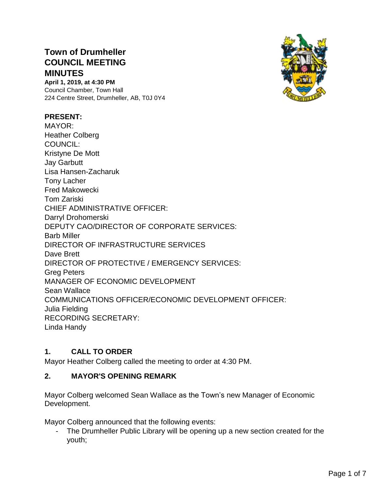# **Town of Drumheller COUNCIL MEETING MINUTES**

**April 1, 2019, at 4:30 PM** Council Chamber, Town Hall 224 Centre Street, Drumheller, AB, T0J 0Y4

#### **PRESENT:**

MAYOR: Heather Colberg COUNCIL: Kristyne De Mott Jay Garbutt Lisa Hansen-Zacharuk Tony Lacher Fred Makowecki Tom Zariski CHIEF ADMINISTRATIVE OFFICER: Darryl Drohomerski DEPUTY CAO/DIRECTOR OF CORPORATE SERVICES: Barb Miller DIRECTOR OF INFRASTRUCTURE SERVICES Dave Brett DIRECTOR OF PROTECTIVE / EMERGENCY SERVICES: Greg Peters MANAGER OF ECONOMIC DEVELOPMENT Sean Wallace COMMUNICATIONS OFFICER/ECONOMIC DEVELOPMENT OFFICER: Julia Fielding RECORDING SECRETARY: Linda Handy

### **1. CALL TO ORDER**

Mayor Heather Colberg called the meeting to order at 4:30 PM.

#### **2. MAYOR'S OPENING REMARK**

Mayor Colberg welcomed Sean Wallace as the Town's new Manager of Economic Development.

Mayor Colberg announced that the following events:

- The Drumheller Public Library will be opening up a new section created for the youth;

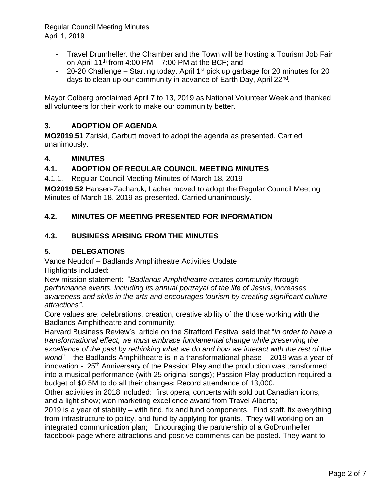- Travel Drumheller, the Chamber and the Town will be hosting a Tourism Job Fair on April 11<sup>th</sup> from 4:00 PM – 7:00 PM at the BCF; and
- 20-20 Challenge Starting today, April 1<sup>st</sup> pick up garbage for 20 minutes for 20 days to clean up our community in advance of Earth Day, April 22<sup>nd</sup>.

Mayor Colberg proclaimed April 7 to 13, 2019 as National Volunteer Week and thanked all volunteers for their work to make our community better.

## **3. ADOPTION OF AGENDA**

**MO2019.51** Zariski, Garbutt moved to adopt the agenda as presented. Carried unanimously.

## **4. MINUTES**

## **4.1. ADOPTION OF REGULAR COUNCIL MEETING MINUTES**

4.1.1. Regular Council Meeting Minutes of March 18, 2019

**MO2019.52** Hansen-Zacharuk, Lacher moved to adopt the Regular Council Meeting Minutes of March 18, 2019 as presented. Carried unanimously.

## **4.2. MINUTES OF MEETING PRESENTED FOR INFORMATION**

## **4.3. BUSINESS ARISING FROM THE MINUTES**

### **5. DELEGATIONS**

Vance Neudorf – Badlands Amphitheatre Activities Update Highlights included:

New mission statement: "*Badlands Amphitheatre creates community through performance events, including its annual portrayal of the life of Jesus, increases awareness and skills in the arts and encourages tourism by creating significant culture attractions"*.

Core values are: celebrations, creation, creative ability of the those working with the Badlands Amphitheatre and community.

Harvard Business Review's article on the Strafford Festival said that "*in order to have a transformational effect, we must embrace fundamental change while preserving the excellence of the past by rethinking what we do and how we interact with the rest of the world*" – the Badlands Amphitheatre is in a transformational phase – 2019 was a year of innovation - 25<sup>th</sup> Anniversary of the Passion Play and the production was transformed into a musical performance (with 25 original songs); Passion Play production required a budget of \$0.5M to do all their changes; Record attendance of 13,000.

Other activities in 2018 included: first opera, concerts with sold out Canadian icons, and a light show; won marketing excellence award from Travel Alberta;

2019 is a year of stability – with find, fix and fund components. Find staff, fix everything from infrastructure to policy, and fund by applying for grants. They will working on an integrated communication plan; Encouraging the partnership of a GoDrumheller facebook page where attractions and positive comments can be posted. They want to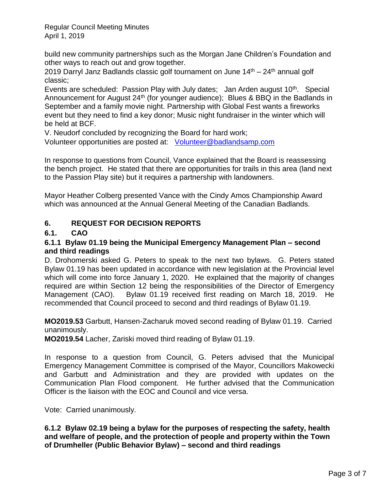build new community partnerships such as the Morgan Jane Children's Foundation and other ways to reach out and grow together.

2019 Darryl Janz Badlands classic golf tournament on June  $14<sup>th</sup> - 24<sup>th</sup>$  annual golf classic;

Events are scheduled: Passion Play with July dates; Jan Arden august 10<sup>th</sup>. Special Announcement for August 24<sup>th</sup> (for younger audience); Blues & BBQ in the Badlands in September and a family movie night. Partnership with Global Fest wants a fireworks event but they need to find a key donor; Music night fundraiser in the winter which will be held at BCF.

V. Neudorf concluded by recognizing the Board for hard work;

Volunteer opportunities are posted at: [Volunteer@badlandsamp.com](mailto:Volunteer@badlandsamp.com)

In response to questions from Council, Vance explained that the Board is reassessing the bench project. He stated that there are opportunities for trails in this area (land next to the Passion Play site) but it requires a partnership with landowners.

Mayor Heather Colberg presented Vance with the Cindy Amos Championship Award which was announced at the Annual General Meeting of the Canadian Badlands.

## **6. REQUEST FOR DECISION REPORTS**

## **6.1. CAO**

### **6.1.1 Bylaw 01.19 being the Municipal Emergency Management Plan – second and third readings**

D. Drohomerski asked G. Peters to speak to the next two bylaws. G. Peters stated Bylaw 01.19 has been updated in accordance with new legislation at the Provincial level which will come into force January 1, 2020. He explained that the majority of changes required are within Section 12 being the responsibilities of the Director of Emergency Management (CAO). Bylaw 01.19 received first reading on March 18, 2019. He recommended that Council proceed to second and third readings of Bylaw 01.19.

**MO2019.53** Garbutt, Hansen-Zacharuk moved second reading of Bylaw 01.19. Carried unanimously.

**MO2019.54** Lacher, Zariski moved third reading of Bylaw 01.19.

In response to a question from Council, G. Peters advised that the Municipal Emergency Management Committee is comprised of the Mayor, Councillors Makowecki and Garbutt and Administration and they are provided with updates on the Communication Plan Flood component. He further advised that the Communication Officer is the liaison with the EOC and Council and vice versa.

Vote: Carried unanimously.

**6.1.2 Bylaw 02.19 being a bylaw for the purposes of respecting the safety, health and welfare of people, and the protection of people and property within the Town of Drumheller (Public Behavior Bylaw) – second and third readings**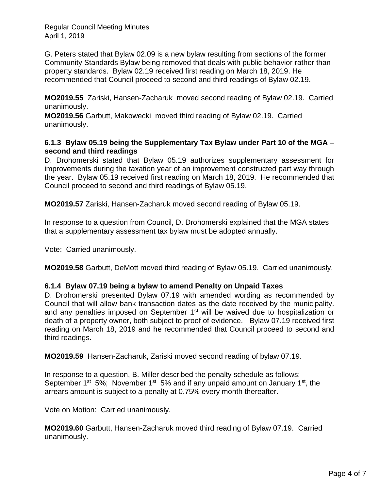G. Peters stated that Bylaw 02.09 is a new bylaw resulting from sections of the former Community Standards Bylaw being removed that deals with public behavior rather than property standards. Bylaw 02.19 received first reading on March 18, 2019. He recommended that Council proceed to second and third readings of Bylaw 02.19.

**MO2019.55** Zariski, Hansen-Zacharuk moved second reading of Bylaw 02.19. Carried unanimously.

**MO2019.56** Garbutt, Makowecki moved third reading of Bylaw 02.19. Carried unanimously.

#### **6.1.3 Bylaw 05.19 being the Supplementary Tax Bylaw under Part 10 of the MGA – second and third readings**

D. Drohomerski stated that Bylaw 05.19 authorizes supplementary assessment for improvements during the taxation year of an improvement constructed part way through the year. Bylaw 05.19 received first reading on March 18, 2019. He recommended that Council proceed to second and third readings of Bylaw 05.19.

**MO2019.57** Zariski, Hansen-Zacharuk moved second reading of Bylaw 05.19.

In response to a question from Council, D. Drohomerski explained that the MGA states that a supplementary assessment tax bylaw must be adopted annually.

Vote: Carried unanimously.

**MO2019.58** Garbutt, DeMott moved third reading of Bylaw 05.19. Carried unanimously.

#### **6.1.4 Bylaw 07.19 being a bylaw to amend Penalty on Unpaid Taxes**

D. Drohomerski presented Bylaw 07.19 with amended wording as recommended by Council that will allow bank transaction dates as the date received by the municipality. and any penalties imposed on September 1<sup>st</sup> will be waived due to hospitalization or death of a property owner, both subject to proof of evidence. Bylaw 07.19 received first reading on March 18, 2019 and he recommended that Council proceed to second and third readings.

**MO2019.59** Hansen-Zacharuk, Zariski moved second reading of bylaw 07.19.

In response to a question, B. Miller described the penalty schedule as follows: September 1<sup>st</sup> 5%; November 1<sup>st</sup> 5% and if any unpaid amount on January 1<sup>st</sup>, the arrears amount is subject to a penalty at 0.75% every month thereafter.

Vote on Motion: Carried unanimously.

**MO2019.60** Garbutt, Hansen-Zacharuk moved third reading of Bylaw 07.19. Carried unanimously.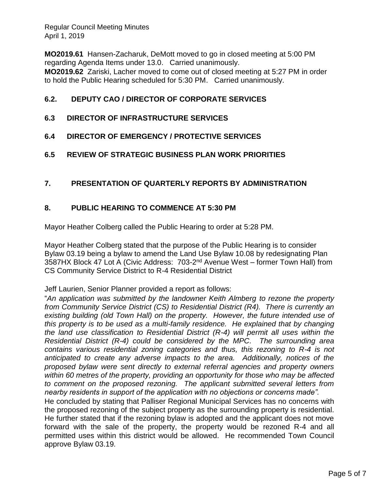**MO2019.61** Hansen-Zacharuk, DeMott moved to go in closed meeting at 5:00 PM regarding Agenda Items under 13.0. Carried unanimously. **MO2019.62** Zariski, Lacher moved to come out of closed meeting at 5:27 PM in order to hold the Public Hearing scheduled for 5:30 PM. Carried unanimously.

## **6.2. DEPUTY CAO / DIRECTOR OF CORPORATE SERVICES**

### **6.3 DIRECTOR OF INFRASTRUCTURE SERVICES**

- **6.4 DIRECTOR OF EMERGENCY / PROTECTIVE SERVICES**
- **6.5 REVIEW OF STRATEGIC BUSINESS PLAN WORK PRIORITIES**

### **7. PRESENTATION OF QUARTERLY REPORTS BY ADMINISTRATION**

#### **8. PUBLIC HEARING TO COMMENCE AT 5:30 PM**

Mayor Heather Colberg called the Public Hearing to order at 5:28 PM.

Mayor Heather Colberg stated that the purpose of the Public Hearing is to consider Bylaw 03.19 being a bylaw to amend the Land Use Bylaw 10.08 by redesignating Plan 3587HX Block 47 Lot A (Civic Address: 703-2<sup>nd</sup> Avenue West - former Town Hall) from CS Community Service District to R-4 Residential District

Jeff Laurien, Senior Planner provided a report as follows:

"*An application was submitted by the landowner Keith Almberg to rezone the property from Community Service District (CS) to Residential District (R4). There is currently an existing building (old Town Hall) on the property. However, the future intended use of this property is to be used as a multi-family residence. He explained that by changing the land use classification to Residential District (R-4) will permit all uses within the Residential District (R-4) could be considered by the MPC. The surrounding area contains various residential zoning categories and thus, this rezoning to R-4 is not anticipated to create any adverse impacts to the area. Additionally, notices of the proposed bylaw were sent directly to external referral agencies and property owners within 60 metres of the property, providing an opportunity for those who may be affected to comment on the proposed rezoning. The applicant submitted several letters from nearby residents in support of the application with no objections or concerns made".*

He concluded by stating that Palliser Regional Municipal Services has no concerns with the proposed rezoning of the subject property as the surrounding property is residential. He further stated that if the rezoning bylaw is adopted and the applicant does not move forward with the sale of the property, the property would be rezoned R-4 and all permitted uses within this district would be allowed. He recommended Town Council approve Bylaw 03.19*.*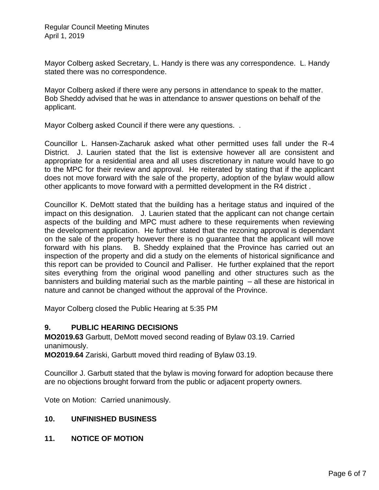Mayor Colberg asked Secretary, L. Handy is there was any correspondence. L. Handy stated there was no correspondence.

Mayor Colberg asked if there were any persons in attendance to speak to the matter. Bob Sheddy advised that he was in attendance to answer questions on behalf of the applicant.

Mayor Colberg asked Council if there were any questions. .

Councillor L. Hansen-Zacharuk asked what other permitted uses fall under the R-4 District. J. Laurien stated that the list is extensive however all are consistent and appropriate for a residential area and all uses discretionary in nature would have to go to the MPC for their review and approval. He reiterated by stating that if the applicant does not move forward with the sale of the property, adoption of the bylaw would allow other applicants to move forward with a permitted development in the R4 district .

Councillor K. DeMott stated that the building has a heritage status and inquired of the impact on this designation. J. Laurien stated that the applicant can not change certain aspects of the building and MPC must adhere to these requirements when reviewing the development application. He further stated that the rezoning approval is dependant on the sale of the property however there is no guarantee that the applicant will move forward with his plans. B. Sheddy explained that the Province has carried out an inspection of the property and did a study on the elements of historical significance and this report can be provided to Council and Palliser. He further explained that the report sites everything from the original wood panelling and other structures such as the bannisters and building material such as the marble painting – all these are historical in nature and cannot be changed without the approval of the Province.

Mayor Colberg closed the Public Hearing at 5:35 PM

#### **9. PUBLIC HEARING DECISIONS**

**MO2019.63** Garbutt, DeMott moved second reading of Bylaw 03.19. Carried unanimously.

**MO2019.64** Zariski, Garbutt moved third reading of Bylaw 03.19.

Councillor J. Garbutt stated that the bylaw is moving forward for adoption because there are no objections brought forward from the public or adjacent property owners.

Vote on Motion: Carried unanimously.

#### **10. UNFINISHED BUSINESS**

**11. NOTICE OF MOTION**